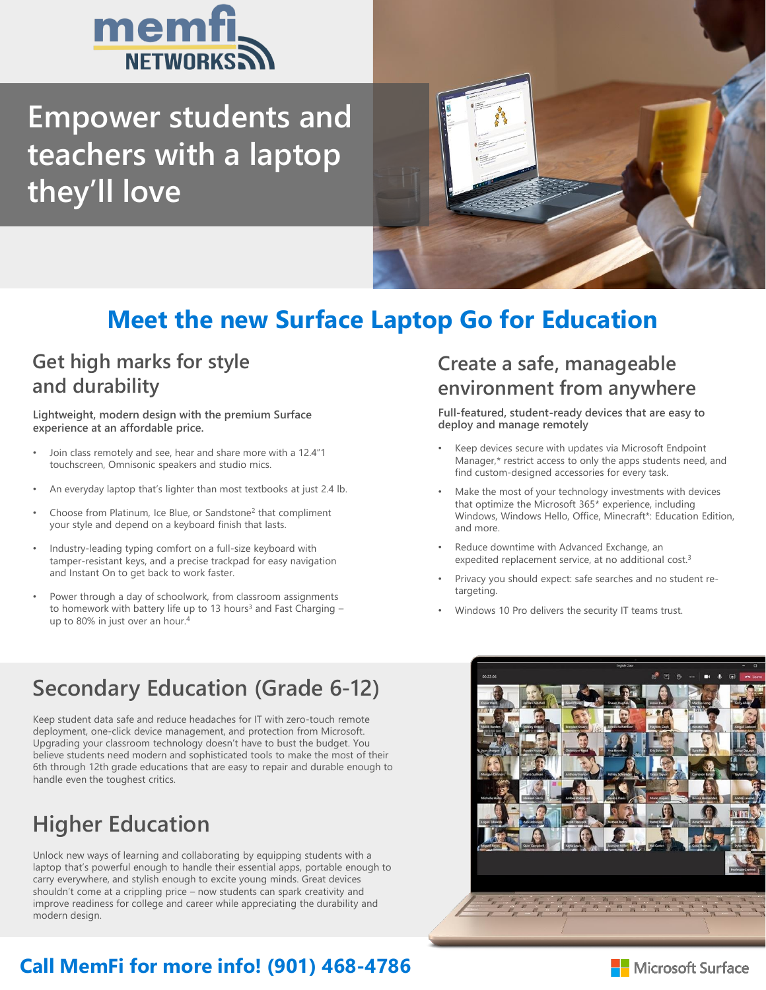

**Empower students and teachers with a laptop they'll love**



## **Meet the new Surface Laptop Go for Education**

### **Get high marks for style and durability**

**Lightweight, modern design with the premium Surface experience at an affordable price.**

- Join class remotely and see, hear and share more with a 12.4"1 touchscreen, Omnisonic speakers and studio mics.
- An everyday laptop that's lighter than most textbooks at just 2.4 lb.
- Choose from Platinum, Ice Blue, or Sandstone<sup>2</sup> that compliment your style and depend on a keyboard finish that lasts.
- Industry-leading typing comfort on a full-size keyboard with tamper-resistant keys, and a precise trackpad for easy navigation and Instant On to get back to work faster.
- Power through a day of schoolwork, from classroom assignments to homework with battery life up to 13 hours<sup>3</sup> and Fast Charging up to 80% in just over an hour.<sup>4</sup>

#### **Create a safe, manageable environment from anywhere**

**Full-featured, student-ready devices that are easy to deploy and manage remotely** 

- Keep devices secure with updates via Microsoft Endpoint Manager,\* restrict access to only the apps students need, and find custom-designed accessories for every task.
- Make the most of your technology investments with devices that optimize the Microsoft 365\* experience, including Windows, Windows Hello, Office, Minecraft\*: Education Edition, and more.
- Reduce downtime with Advanced Exchange, an expedited replacement service, at no additional cost.<sup>3</sup>
- Privacy you should expect: safe searches and no student retargeting.
- Windows 10 Pro delivers the security IT teams trust.

### **Secondary Education (Grade 6-12)**

Keep student data safe and reduce headaches for IT with zero-touch remote deployment, one-click device management, and protection from Microsoft. Upgrading your classroom technology doesn't have to bust the budget. You believe students need modern and sophisticated tools to make the most of their 6th through 12th grade educations that are easy to repair and durable enough to handle even the toughest critics.

# **Higher Education**

Unlock new ways of learning and collaborating by equipping students with a laptop that's powerful enough to handle their essential apps, portable enough to carry everywhere, and stylish enough to excite young minds. Great devices shouldn't come at a crippling price – now students can spark creativity and improve readiness for college and career while appreciating the durability and modern design.

### **Call MemFi for more info! (901) 468-4786**